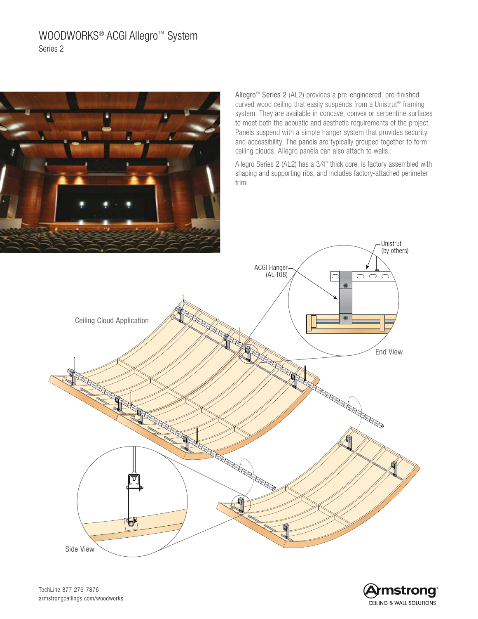# WOODWORKS<sup>®</sup> ACGI Allegro<sup>™</sup> System Series 2



Allegro™ Series 2 (AL2) provides a pre-engineered, pre-finished curved wood ceiling that easily suspends from a Unistrut® framing system. They are available in concave, convex or serpentine surfaces to meet both the acoustic and aesthetic requirements of the project. Panels suspend with a simple hanger system that provides security and accessibility. The panels are typically grouped together to form ceiling clouds. Allegro panels can also attach to walls.

Allegro Series 2 (AL2) has a 3⁄4" thick core, is factory assembled with shaping and supporting ribs, and includes factory-attached perimeter trim.